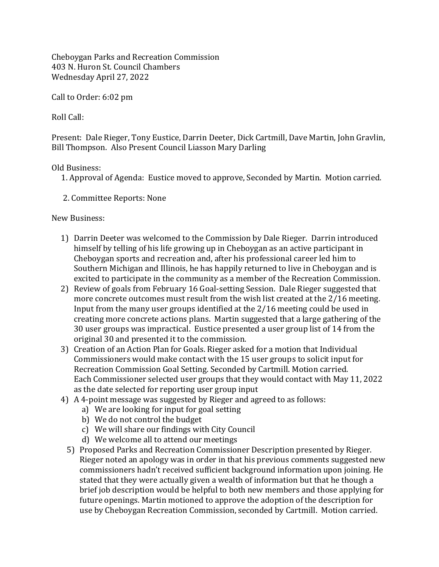Cheboygan Parks and Recreation Commission 403 N. Huron St. Council Chambers Wednesday April 27, 2022

Call to Order: 6:02 pm

Roll Call:

Present: Dale Rieger, Tony Eustice, Darrin Deeter, Dick Cartmill, Dave Martin, John Gravlin, Bill Thompson. Also Present Council Liasson Mary Darling

## Old Business:

- 1. Approval of Agenda: Eustice moved to approve, Seconded by Martin. Motion carried.
- 2. Committee Reports: None

New Business:

- 1) Darrin Deeter was welcomed to the Commission by Dale Rieger. Darrin introduced himself by telling of his life growing up in Cheboygan as an active participant in Cheboygan sports and recreation and, after his professional career led him to Southern Michigan and Illinois, he has happily returned to live in Cheboygan and is excited to participate in the community as a member of the Recreation Commission.
- 2) Review of goals from February 16 Goal-setting Session. Dale Rieger suggested that more concrete outcomes must result from the wish list created at the 2/16 meeting. Input from the many user groups identified at the 2/16 meeting could be used in creating more concrete actions plans. Martin suggested that a large gathering of the 30 user groups was impractical. Eustice presented a user group list of 14 from the original 30 and presented it to the commission.
- 3) Creation of an Action Plan for Goals. Rieger asked for a motion that Individual Commissioners would make contact with the 15 user groups to solicit input for Recreation Commission Goal Setting. Seconded by Cartmill. Motion carried. Each Commissioner selected user groups that they would contact with May 11, 2022 as the date selected for reporting user group input
- 4) A 4-point message was suggested by Rieger and agreed to as follows:
	- a) We are looking for input for goal setting
	- b) We do not control the budget
	- c) We will share our findings with City Council
	- d) We welcome all to attend our meetings
	- 5) Proposed Parks and Recreation Commissioner Description presented by Rieger. Rieger noted an apology was in order in that his previous comments suggested new commissioners hadn't received sufficient background information upon joining. He stated that they were actually given a wealth of information but that he though a brief job description would be helpful to both new members and those applying for future openings. Martin motioned to approve the adoption of the description for use by Cheboygan Recreation Commission, seconded by Cartmill. Motion carried.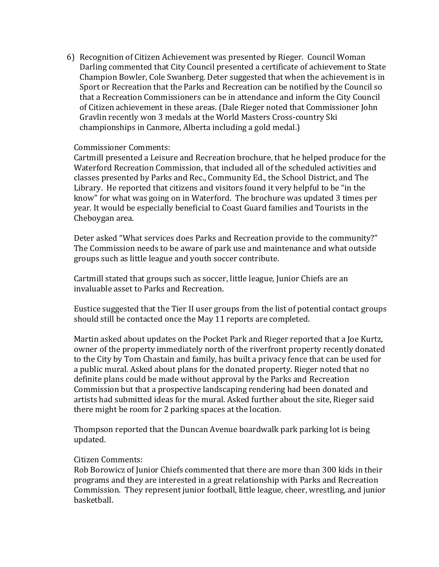6) Recognition of Citizen Achievement was presented by Rieger. Council Woman Darling commented that City Council presented a certificate of achievement to State Champion Bowler, Cole Swanberg. Deter suggested that when the achievement is in Sport or Recreation that the Parks and Recreation can be notified by the Council so that a Recreation Commissioners can be in attendance and inform the City Council of Citizen achievement in these areas. (Dale Rieger noted that Commissioner John Gravlin recently won 3 medals at the World Masters Cross-country Ski championships in Canmore, Alberta including a gold medal.)

## Commissioner Comments:

Cartmill presented a Leisure and Recreation brochure, that he helped produce for the Waterford Recreation Commission, that included all of the scheduled activities and classes presented by Parks and Rec., Community Ed., the School District, and The Library. He reported that citizens and visitors found it very helpful to be "in the know" for what was going on in Waterford. The brochure was updated 3 times per year. It would be especially beneficial to Coast Guard families and Tourists in the Cheboygan area.

Deter asked "What services does Parks and Recreation provide to the community?" The Commission needs to be aware of park use and maintenance and what outside groups such as little league and youth soccer contribute.

Cartmill stated that groups such as soccer, little league, Junior Chiefs are an invaluable asset to Parks and Recreation.

Eustice suggested that the Tier II user groups from the list of potential contact groups should still be contacted once the May 11 reports are completed.

Martin asked about updates on the Pocket Park and Rieger reported that a Joe Kurtz, owner of the property immediately north of the riverfront property recently donated to the City by Tom Chastain and family, has built a privacy fence that can be used for a public mural. Asked about plans for the donated property. Rieger noted that no definite plans could be made without approval by the Parks and Recreation Commission but that a prospective landscaping rendering had been donated and artists had submitted ideas for the mural. Asked further about the site, Rieger said there might be room for 2 parking spaces at the location.

Thompson reported that the Duncan Avenue boardwalk park parking lot is being updated.

## Citizen Comments:

Rob Borowicz of Junior Chiefs commented that there are more than 300 kids in their programs and they are interested in a great relationship with Parks and Recreation Commission. They represent junior football, little league, cheer, wrestling, and junior basketball.